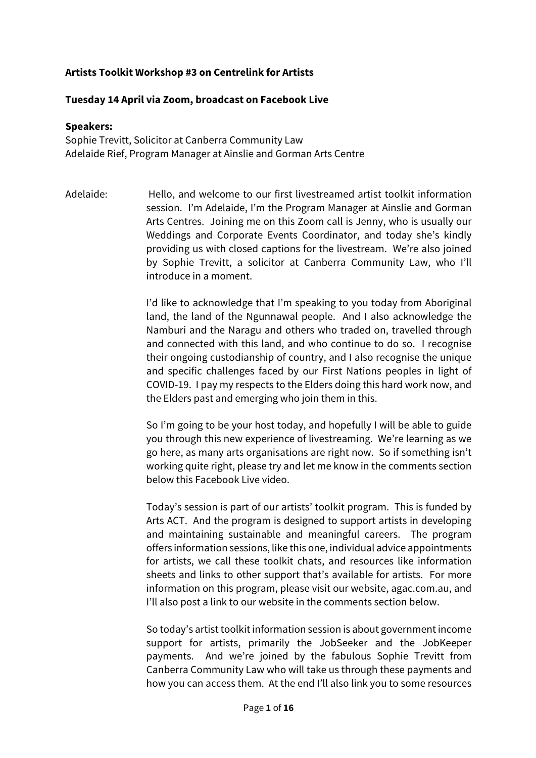## **Artists Toolkit Workshop #3 on Centrelink for Artists**

## **Tuesday 14 April via Zoom, broadcast on Facebook Live**

## **Speakers:**

Sophie Trevitt, Solicitor at Canberra Community Law Adelaide Rief, Program Manager at Ainslie and Gorman Arts Centre

Adelaide: Hello, and welcome to our first livestreamed artist toolkit information session. I'm Adelaide, I'm the Program Manager at Ainslie and Gorman Arts Centres. Joining me on this Zoom call is Jenny, who is usually our Weddings and Corporate Events Coordinator, and today she's kindly providing us with closed captions for the livestream. We're also joined by Sophie Trevitt, a solicitor at Canberra Community Law, who I'll introduce in a moment.

> I'd like to acknowledge that I'm speaking to you today from Aboriginal land, the land of the Ngunnawal people. And I also acknowledge the Namburi and the Naragu and others who traded on, travelled through and connected with this land, and who continue to do so. I recognise their ongoing custodianship of country, and I also recognise the unique and specific challenges faced by our First Nations peoples in light of COVID-19. I pay my respects to the Elders doing this hard work now, and the Elders past and emerging who join them in this.

> So I'm going to be your host today, and hopefully I will be able to guide you through this new experience of livestreaming. We're learning as we go here, as many arts organisations are right now. So if something isn't working quite right, please try and let me know in the comments section below this Facebook Live video.

> Today's session is part of our artists' toolkit program. This is funded by Arts ACT. And the program is designed to support artists in developing and maintaining sustainable and meaningful careers. The program offers information sessions, like this one, individual advice appointments for artists, we call these toolkit chats, and resources like information sheets and links to other support that's available for artists. For more information on this program, please visit our website, agac.com.au, and I'll also post a link to our website in the comments section below.

> So today's artist toolkit information session is about government income support for artists, primarily the JobSeeker and the JobKeeper payments. And we're joined by the fabulous Sophie Trevitt from Canberra Community Law who will take us through these payments and how you can access them. At the end I'll also link you to some resources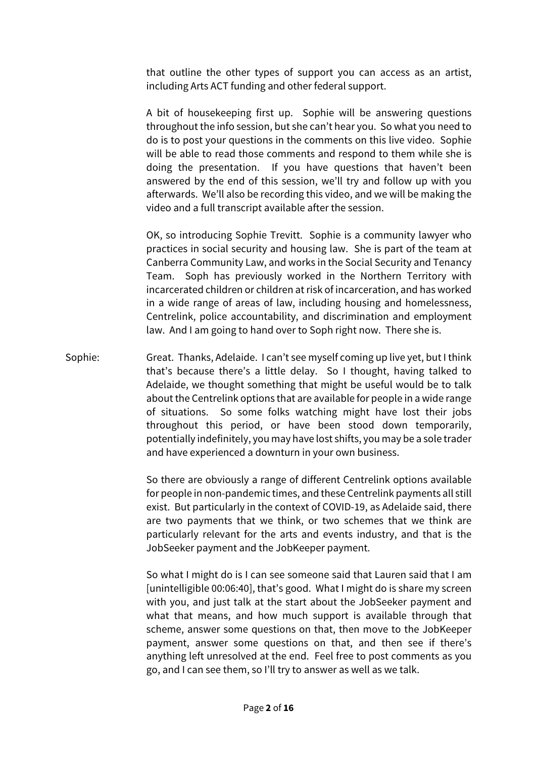that outline the other types of support you can access as an artist, including Arts ACT funding and other federal support.

A bit of housekeeping first up. Sophie will be answering questions throughout the info session, but she can't hear you. So what you need to do is to post your questions in the comments on this live video. Sophie will be able to read those comments and respond to them while she is doing the presentation. If you have questions that haven't been answered by the end of this session, we'll try and follow up with you afterwards. We'll also be recording this video, and we will be making the video and a full transcript available after the session.

OK, so introducing Sophie Trevitt. Sophie is a community lawyer who practices in social security and housing law. She is part of the team at Canberra Community Law, and works in the Social Security and Tenancy Team. Soph has previously worked in the Northern Territory with incarcerated children or children at risk of incarceration, and has worked in a wide range of areas of law, including housing and homelessness, Centrelink, police accountability, and discrimination and employment law. And I am going to hand over to Soph right now. There she is.

Sophie: Great. Thanks, Adelaide. I can't see myself coming up live yet, but I think that's because there's a little delay. So I thought, having talked to Adelaide, we thought something that might be useful would be to talk about the Centrelink options that are available for people in a wide range of situations. So some folks watching might have lost their jobs throughout this period, or have been stood down temporarily, potentially indefinitely, you may have lost shifts, you may be a sole trader and have experienced a downturn in your own business.

> So there are obviously a range of different Centrelink options available for people in non-pandemic times, and these Centrelink payments all still exist. But particularly in the context of COVID-19, as Adelaide said, there are two payments that we think, or two schemes that we think are particularly relevant for the arts and events industry, and that is the JobSeeker payment and the JobKeeper payment.

> So what I might do is I can see someone said that Lauren said that I am [unintelligible 00:06:40], that's good. What I might do is share my screen with you, and just talk at the start about the JobSeeker payment and what that means, and how much support is available through that scheme, answer some questions on that, then move to the JobKeeper payment, answer some questions on that, and then see if there's anything left unresolved at the end. Feel free to post comments as you go, and I can see them, so I'll try to answer as well as we talk.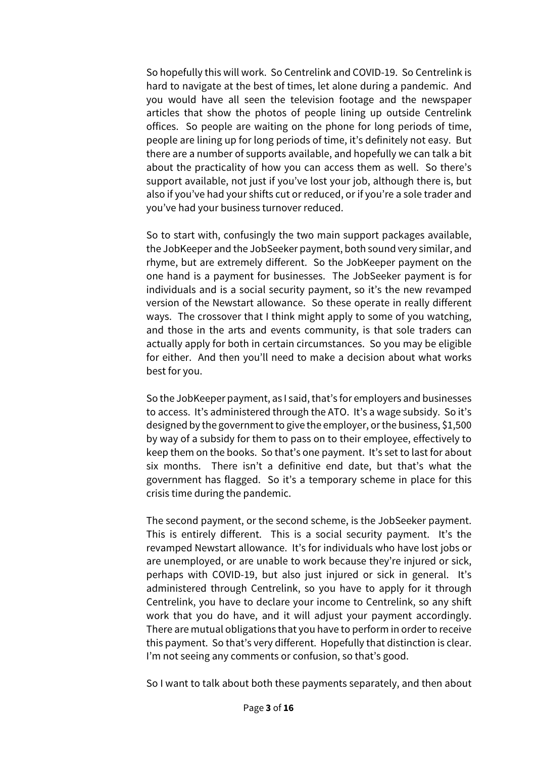So hopefully this will work. So Centrelink and COVID-19. So Centrelink is hard to navigate at the best of times, let alone during a pandemic. And you would have all seen the television footage and the newspaper articles that show the photos of people lining up outside Centrelink offices. So people are waiting on the phone for long periods of time, people are lining up for long periods of time, it's definitely not easy. But there are a number of supports available, and hopefully we can talk a bit about the practicality of how you can access them as well. So there's support available, not just if you've lost your job, although there is, but also if you've had your shifts cut or reduced, or if you're a sole trader and you've had your business turnover reduced.

So to start with, confusingly the two main support packages available, the JobKeeper and the JobSeeker payment, both sound very similar, and rhyme, but are extremely different. So the JobKeeper payment on the one hand is a payment for businesses. The JobSeeker payment is for individuals and is a social security payment, so it's the new revamped version of the Newstart allowance. So these operate in really different ways. The crossover that I think might apply to some of you watching, and those in the arts and events community, is that sole traders can actually apply for both in certain circumstances. So you may be eligible for either. And then you'll need to make a decision about what works best for you.

So the JobKeeper payment, as I said, that's for employers and businesses to access. It's administered through the ATO. It's a wage subsidy. So it's designed by the government to give the employer, or the business, \$1,500 by way of a subsidy for them to pass on to their employee, effectively to keep them on the books. So that's one payment. It's set to last for about six months. There isn't a definitive end date, but that's what the government has flagged. So it's a temporary scheme in place for this crisis time during the pandemic.

The second payment, or the second scheme, is the JobSeeker payment. This is entirely different. This is a social security payment. It's the revamped Newstart allowance. It's for individuals who have lost jobs or are unemployed, or are unable to work because they're injured or sick, perhaps with COVID-19, but also just injured or sick in general. It's administered through Centrelink, so you have to apply for it through Centrelink, you have to declare your income to Centrelink, so any shift work that you do have, and it will adjust your payment accordingly. There are mutual obligations that you have to perform in order to receive this payment. So that's very different. Hopefully that distinction is clear. I'm not seeing any comments or confusion, so that's good.

So I want to talk about both these payments separately, and then about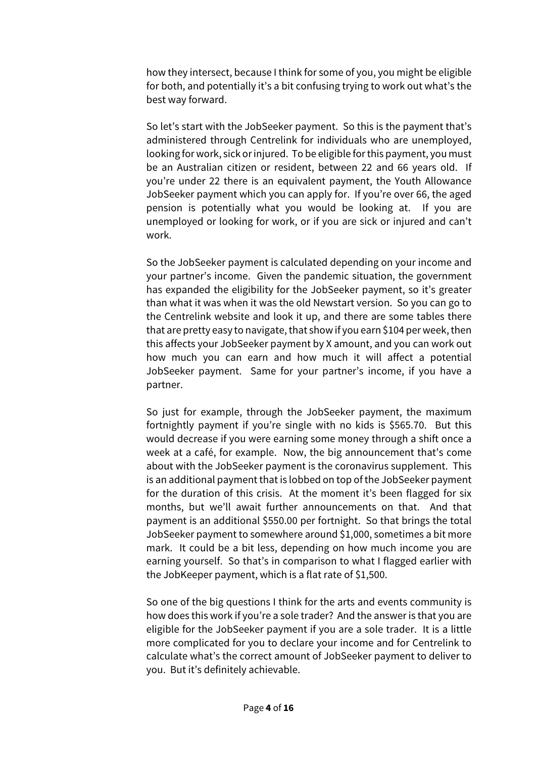how they intersect, because I think for some of you, you might be eligible for both, and potentially it's a bit confusing trying to work out what's the best way forward.

So let's start with the JobSeeker payment. So this is the payment that's administered through Centrelink for individuals who are unemployed, looking for work, sick or injured. To be eligible for this payment, you must be an Australian citizen or resident, between 22 and 66 years old. If you're under 22 there is an equivalent payment, the Youth Allowance JobSeeker payment which you can apply for. If you're over 66, the aged pension is potentially what you would be looking at. If you are unemployed or looking for work, or if you are sick or injured and can't work.

So the JobSeeker payment is calculated depending on your income and your partner's income. Given the pandemic situation, the government has expanded the eligibility for the JobSeeker payment, so it's greater than what it was when it was the old Newstart version. So you can go to the Centrelink website and look it up, and there are some tables there that are pretty easy to navigate, that show if you earn \$104 per week, then this affects your JobSeeker payment by X amount, and you can work out how much you can earn and how much it will affect a potential JobSeeker payment. Same for your partner's income, if you have a partner.

So just for example, through the JobSeeker payment, the maximum fortnightly payment if you're single with no kids is \$565.70. But this would decrease if you were earning some money through a shift once a week at a café, for example. Now, the big announcement that's come about with the JobSeeker payment is the coronavirus supplement. This is an additional payment that is lobbed on top of the JobSeeker payment for the duration of this crisis. At the moment it's been flagged for six months, but we'll await further announcements on that. And that payment is an additional \$550.00 per fortnight. So that brings the total JobSeeker payment to somewhere around \$1,000, sometimes a bit more mark. It could be a bit less, depending on how much income you are earning yourself. So that's in comparison to what I flagged earlier with the JobKeeper payment, which is a flat rate of \$1,500.

So one of the big questions I think for the arts and events community is how does this work if you're a sole trader? And the answer is that you are eligible for the JobSeeker payment if you are a sole trader. It is a little more complicated for you to declare your income and for Centrelink to calculate what's the correct amount of JobSeeker payment to deliver to you. But it's definitely achievable.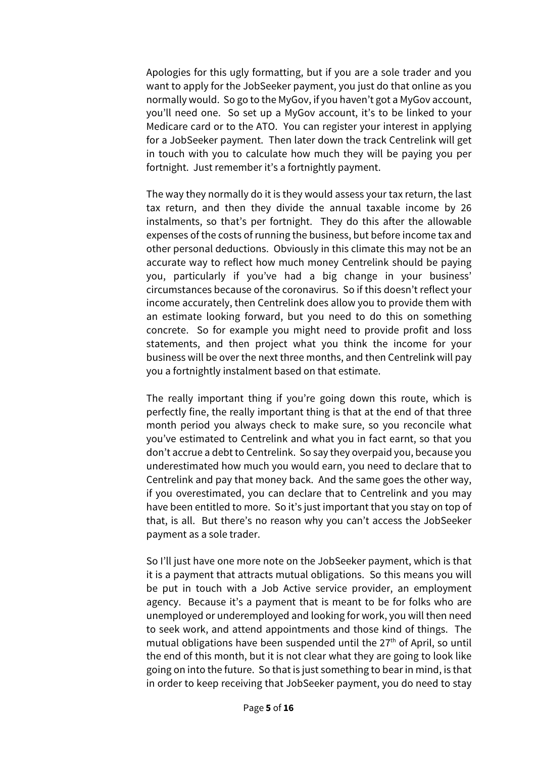Apologies for this ugly formatting, but if you are a sole trader and you want to apply for the JobSeeker payment, you just do that online as you normally would. So go to the MyGov, if you haven't got a MyGov account, you'll need one. So set up a MyGov account, it's to be linked to your Medicare card or to the ATO. You can register your interest in applying for a JobSeeker payment. Then later down the track Centrelink will get in touch with you to calculate how much they will be paying you per fortnight. Just remember it's a fortnightly payment.

The way they normally do it is they would assess your tax return, the last tax return, and then they divide the annual taxable income by 26 instalments, so that's per fortnight. They do this after the allowable expenses of the costs of running the business, but before income tax and other personal deductions. Obviously in this climate this may not be an accurate way to reflect how much money Centrelink should be paying you, particularly if you've had a big change in your business' circumstances because of the coronavirus. So if this doesn't reflect your income accurately, then Centrelink does allow you to provide them with an estimate looking forward, but you need to do this on something concrete. So for example you might need to provide profit and loss statements, and then project what you think the income for your business will be over the next three months, and then Centrelink will pay you a fortnightly instalment based on that estimate.

The really important thing if you're going down this route, which is perfectly fine, the really important thing is that at the end of that three month period you always check to make sure, so you reconcile what you've estimated to Centrelink and what you in fact earnt, so that you don't accrue a debt to Centrelink. So say they overpaid you, because you underestimated how much you would earn, you need to declare that to Centrelink and pay that money back. And the same goes the other way, if you overestimated, you can declare that to Centrelink and you may have been entitled to more. So it's just important that you stay on top of that, is all. But there's no reason why you can't access the JobSeeker payment as a sole trader.

So I'll just have one more note on the JobSeeker payment, which is that it is a payment that attracts mutual obligations. So this means you will be put in touch with a Job Active service provider, an employment agency. Because it's a payment that is meant to be for folks who are unemployed or underemployed and looking for work, you will then need to seek work, and attend appointments and those kind of things. The mutual obligations have been suspended until the  $27<sup>th</sup>$  of April, so until the end of this month, but it is not clear what they are going to look like going on into the future. So that is just something to bear in mind, is that in order to keep receiving that JobSeeker payment, you do need to stay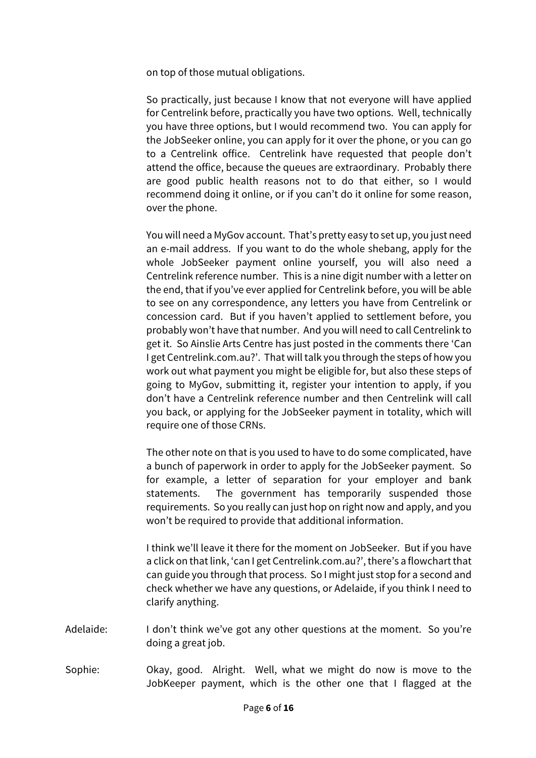on top of those mutual obligations.

So practically, just because I know that not everyone will have applied for Centrelink before, practically you have two options. Well, technically you have three options, but I would recommend two. You can apply for the JobSeeker online, you can apply for it over the phone, or you can go to a Centrelink office. Centrelink have requested that people don't attend the office, because the queues are extraordinary. Probably there are good public health reasons not to do that either, so I would recommend doing it online, or if you can't do it online for some reason, over the phone.

You will need a MyGov account. That's pretty easy to set up, you just need an e-mail address. If you want to do the whole shebang, apply for the whole JobSeeker payment online yourself, you will also need a Centrelink reference number. This is a nine digit number with a letter on the end, that if you've ever applied for Centrelink before, you will be able to see on any correspondence, any letters you have from Centrelink or concession card. But if you haven't applied to settlement before, you probably won't have that number. And you will need to call Centrelink to get it. So Ainslie Arts Centre has just posted in the comments there 'Can I get Centrelink.com.au?'. That will talk you through the steps of how you work out what payment you might be eligible for, but also these steps of going to MyGov, submitting it, register your intention to apply, if you don't have a Centrelink reference number and then Centrelink will call you back, or applying for the JobSeeker payment in totality, which will require one of those CRNs.

The other note on that is you used to have to do some complicated, have a bunch of paperwork in order to apply for the JobSeeker payment. So for example, a letter of separation for your employer and bank statements. The government has temporarily suspended those requirements. So you really can just hop on right now and apply, and you won't be required to provide that additional information.

I think we'll leave it there for the moment on JobSeeker. But if you have a click on that link, 'can I get Centrelink.com.au?', there's a flowchart that can guide you through that process. So I might just stop for a second and check whether we have any questions, or Adelaide, if you think I need to clarify anything.

- Adelaide: I don't think we've got any other questions at the moment. So you're doing a great job.
- Sophie: Okay, good. Alright. Well, what we might do now is move to the JobKeeper payment, which is the other one that I flagged at the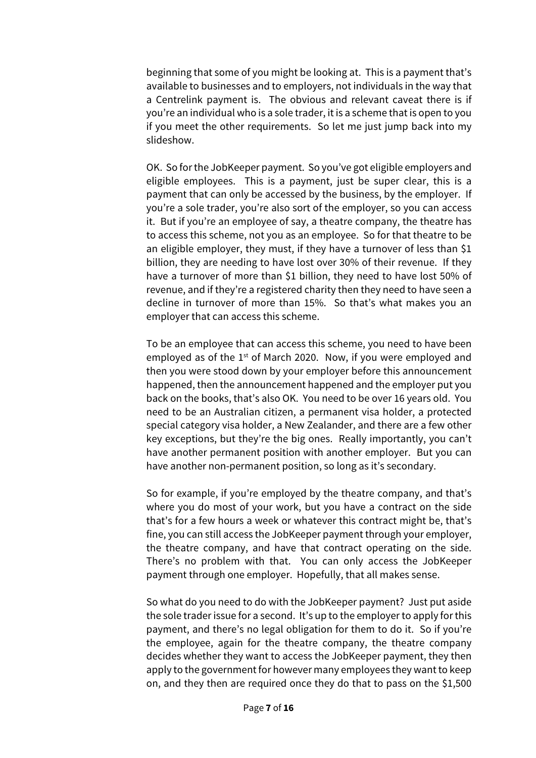beginning that some of you might be looking at. This is a payment that's available to businesses and to employers, not individuals in the way that a Centrelink payment is. The obvious and relevant caveat there is if you're an individual who is a sole trader, it is a scheme that is open to you if you meet the other requirements. So let me just jump back into my slideshow.

OK. So for the JobKeeper payment. So you've got eligible employers and eligible employees. This is a payment, just be super clear, this is a payment that can only be accessed by the business, by the employer. If you're a sole trader, you're also sort of the employer, so you can access it. But if you're an employee of say, a theatre company, the theatre has to access this scheme, not you as an employee. So for that theatre to be an eligible employer, they must, if they have a turnover of less than \$1 billion, they are needing to have lost over 30% of their revenue. If they have a turnover of more than \$1 billion, they need to have lost 50% of revenue, and if they're a registered charity then they need to have seen a decline in turnover of more than 15%. So that's what makes you an employer that can access this scheme.

To be an employee that can access this scheme, you need to have been employed as of the  $1<sup>st</sup>$  of March 2020. Now, if you were employed and then you were stood down by your employer before this announcement happened, then the announcement happened and the employer put you back on the books, that's also OK. You need to be over 16 years old. You need to be an Australian citizen, a permanent visa holder, a protected special category visa holder, a New Zealander, and there are a few other key exceptions, but they're the big ones. Really importantly, you can't have another permanent position with another employer. But you can have another non-permanent position, so long as it's secondary.

So for example, if you're employed by the theatre company, and that's where you do most of your work, but you have a contract on the side that's for a few hours a week or whatever this contract might be, that's fine, you can still access the JobKeeper payment through your employer, the theatre company, and have that contract operating on the side. There's no problem with that. You can only access the JobKeeper payment through one employer. Hopefully, that all makes sense.

So what do you need to do with the JobKeeper payment? Just put aside the sole trader issue for a second. It's up to the employer to apply for this payment, and there's no legal obligation for them to do it. So if you're the employee, again for the theatre company, the theatre company decides whether they want to access the JobKeeper payment, they then apply to the government for however many employees they want to keep on, and they then are required once they do that to pass on the \$1,500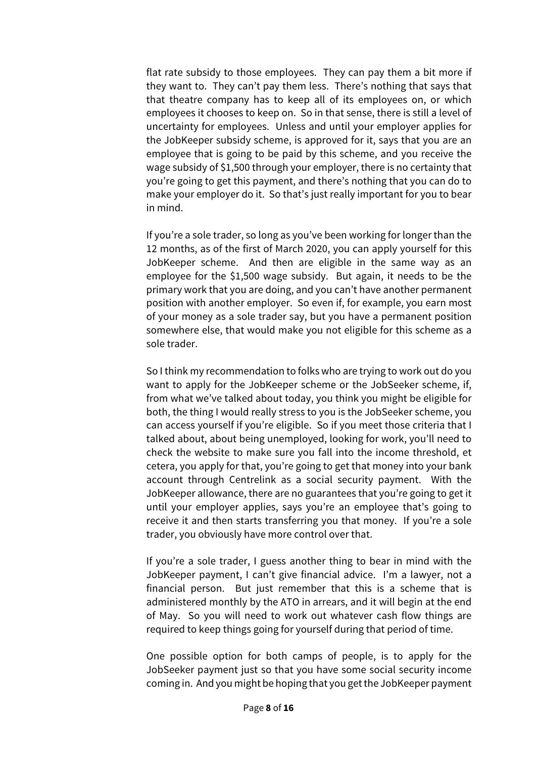flat rate subsidy to those employees. They can pay them a bit more if they want to. They can't pay them less. There's nothing that says that that theatre company has to keep all of its employees on, or which employees it chooses to keep on. So in that sense, there is still a level of uncertainty for employees. Unless and until your employer applies for the JobKeeper subsidy scheme, is approved for it, says that you are an employee that is going to be paid by this scheme, and you receive the wage subsidy of \$1,500 through your employer, there is no certainty that you're going to get this payment, and there's nothing that you can do to make your employer do it. So that's just really important for you to bear in mind.

If you're a sole trader, so long as you've been working for longer than the 12 months, as of the first of March 2020, you can apply yourself for this JobKeeper scheme. And then are eligible in the same way as an employee for the \$1,500 wage subsidy. But again, it needs to be the primary work that you are doing, and you can't have another permanent position with another employer. So even if, for example, you earn most of your money as a sole trader say, but you have a permanent position somewhere else, that would make you not eligible for this scheme as a sole trader.

So I think my recommendation to folks who are trying to work out do you want to apply for the JobKeeper scheme or the JobSeeker scheme, if, from what we've talked about today, you think you might be eligible for both, the thing I would really stress to you is the JobSeeker scheme, you can access yourself if you're eligible. So if you meet those criteria that I talked about, about being unemployed, looking for work, you'll need to check the website to make sure you fall into the income threshold, et cetera, you apply for that, you're going to get that money into your bank account through Centrelink as a social security payment. With the JobKeeper allowance, there are no guarantees that you're going to get it until your employer applies, says you're an employee that's going to receive it and then starts transferring you that money. If you're a sole trader, you obviously have more control over that.

If you're a sole trader, I guess another thing to bear in mind with the JobKeeper payment, I can't give financial advice. I'm a lawyer, not a financial person. But just remember that this is a scheme that is administered monthly by the ATO in arrears, and it will begin at the end of May. So you will need to work out whatever cash flow things are required to keep things going for yourself during that period of time.

One possible option for both camps of people, is to apply for the JobSeeker payment just so that you have some social security income coming in. And you might be hoping that you get the JobKeeper payment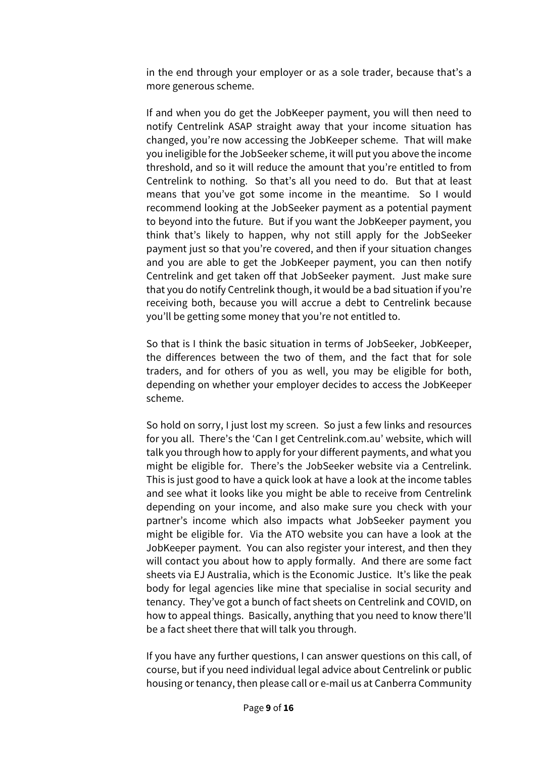in the end through your employer or as a sole trader, because that's a more generous scheme.

If and when you do get the JobKeeper payment, you will then need to notify Centrelink ASAP straight away that your income situation has changed, you're now accessing the JobKeeper scheme. That will make you ineligible for the JobSeeker scheme, it will put you above the income threshold, and so it will reduce the amount that you're entitled to from Centrelink to nothing. So that's all you need to do. But that at least means that you've got some income in the meantime. So I would recommend looking at the JobSeeker payment as a potential payment to beyond into the future. But if you want the JobKeeper payment, you think that's likely to happen, why not still apply for the JobSeeker payment just so that you're covered, and then if your situation changes and you are able to get the JobKeeper payment, you can then notify Centrelink and get taken off that JobSeeker payment. Just make sure that you do notify Centrelink though, it would be a bad situation if you're receiving both, because you will accrue a debt to Centrelink because you'll be getting some money that you're not entitled to.

So that is I think the basic situation in terms of JobSeeker, JobKeeper, the differences between the two of them, and the fact that for sole traders, and for others of you as well, you may be eligible for both, depending on whether your employer decides to access the JobKeeper scheme.

So hold on sorry, I just lost my screen. So just a few links and resources for you all. There's the 'Can I get Centrelink.com.au' website, which will talk you through how to apply for your different payments, and what you might be eligible for. There's the JobSeeker website via a Centrelink. This is just good to have a quick look at have a look at the income tables and see what it looks like you might be able to receive from Centrelink depending on your income, and also make sure you check with your partner's income which also impacts what JobSeeker payment you might be eligible for. Via the ATO website you can have a look at the JobKeeper payment. You can also register your interest, and then they will contact you about how to apply formally. And there are some fact sheets via EJ Australia, which is the Economic Justice. It's like the peak body for legal agencies like mine that specialise in social security and tenancy. They've got a bunch of fact sheets on Centrelink and COVID, on how to appeal things. Basically, anything that you need to know there'll be a fact sheet there that will talk you through.

If you have any further questions, I can answer questions on this call, of course, but if you need individual legal advice about Centrelink or public housing or tenancy, then please call or e-mail us at Canberra Community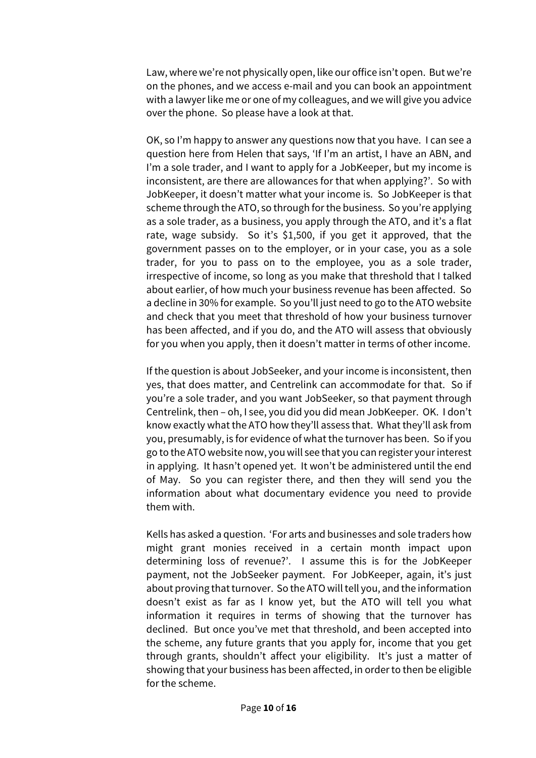Law, where we're not physically open, like our office isn't open. But we're on the phones, and we access e-mail and you can book an appointment with a lawyer like me or one of my colleagues, and we will give you advice over the phone. So please have a look at that.

OK, so I'm happy to answer any questions now that you have. I can see a question here from Helen that says, 'If I'm an artist, I have an ABN, and I'm a sole trader, and I want to apply for a JobKeeper, but my income is inconsistent, are there are allowances for that when applying?'. So with JobKeeper, it doesn't matter what your income is. So JobKeeper is that scheme through the ATO, so through for the business. So you're applying as a sole trader, as a business, you apply through the ATO, and it's a flat rate, wage subsidy. So it's \$1,500, if you get it approved, that the government passes on to the employer, or in your case, you as a sole trader, for you to pass on to the employee, you as a sole trader, irrespective of income, so long as you make that threshold that I talked about earlier, of how much your business revenue has been affected. So a decline in 30% for example. So you'll just need to go to the ATO website and check that you meet that threshold of how your business turnover has been affected, and if you do, and the ATO will assess that obviously for you when you apply, then it doesn't matter in terms of other income.

If the question is about JobSeeker, and your income is inconsistent, then yes, that does matter, and Centrelink can accommodate for that. So if you're a sole trader, and you want JobSeeker, so that payment through Centrelink, then – oh, I see, you did you did mean JobKeeper. OK. I don't know exactly what the ATO how they'll assess that. What they'll ask from you, presumably, is for evidence of what the turnover has been. So if you go to the ATO website now, you will see that you can register your interest in applying. It hasn't opened yet. It won't be administered until the end of May. So you can register there, and then they will send you the information about what documentary evidence you need to provide them with.

Kells has asked a question. 'For arts and businesses and sole traders how might grant monies received in a certain month impact upon determining loss of revenue?'. I assume this is for the JobKeeper payment, not the JobSeeker payment. For JobKeeper, again, it's just about proving that turnover. So the ATO will tell you, and the information doesn't exist as far as I know yet, but the ATO will tell you what information it requires in terms of showing that the turnover has declined. But once you've met that threshold, and been accepted into the scheme, any future grants that you apply for, income that you get through grants, shouldn't affect your eligibility. It's just a matter of showing that your business has been affected, in order to then be eligible for the scheme.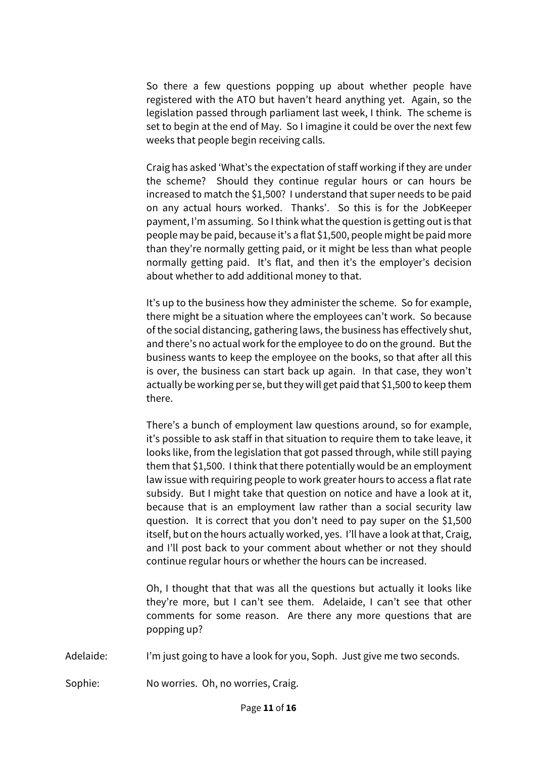So there a few questions popping up about whether people have registered with the ATO but haven't heard anything yet. Again, so the legislation passed through parliament last week, I think. The scheme is set to begin at the end of May. So I imagine it could be over the next few weeks that people begin receiving calls.

Craig has asked 'What's the expectation of staff working if they are under the scheme? Should they continue regular hours or can hours be increased to match the \$1,500? I understand that super needs to be paid on any actual hours worked. Thanks'. So this is for the JobKeeper payment, I'm assuming. So I think what the question is getting out is that people may be paid, because it's a flat \$1,500, people might be paid more than they're normally getting paid, or it might be less than what people normally getting paid. It's flat, and then it's the employer's decision about whether to add additional money to that.

It's up to the business how they administer the scheme. So for example, there might be a situation where the employees can't work. So because of the social distancing, gathering laws, the business has effectively shut, and there's no actual work for the employee to do on the ground. But the business wants to keep the employee on the books, so that after all this is over, the business can start back up again. In that case, they won't actually be working per se, but they will get paid that \$1,500 to keep them there.

There's a bunch of employment law questions around, so for example, it's possible to ask staff in that situation to require them to take leave, it looks like, from the legislation that got passed through, while still paying them that \$1,500. I think that there potentially would be an employment law issue with requiring people to work greater hours to access a flat rate subsidy. But I might take that question on notice and have a look at it, because that is an employment law rather than a social security law question. It is correct that you don't need to pay super on the \$1,500 itself, but on the hours actually worked, yes. I'll have a look at that, Craig, and I'll post back to your comment about whether or not they should continue regular hours or whether the hours can be increased.

Oh, I thought that that was all the questions but actually it looks like they're more, but I can't see them. Adelaide, I can't see that other comments for some reason. Are there any more questions that are popping up?

Adelaide: I'm just going to have a look for you, Soph. Just give me two seconds.

Sophie: No worries. Oh, no worries, Craig.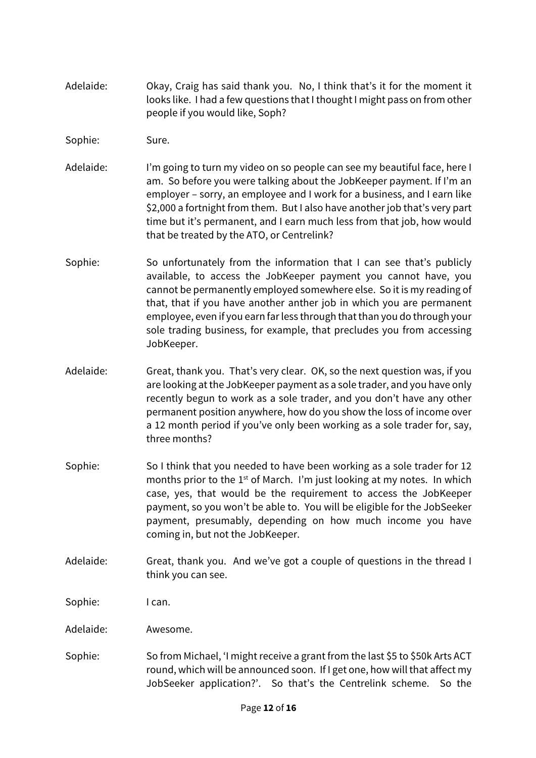- Adelaide: Okay, Craig has said thank you. No, I think that's it for the moment it looks like. I had a few questions that I thought I might pass on from other people if you would like, Soph?
- Sophie: Sure.
- Adelaide: I'm going to turn my video on so people can see my beautiful face, here I am. So before you were talking about the JobKeeper payment. If I'm an employer – sorry, an employee and I work for a business, and I earn like \$2,000 a fortnight from them. But I also have another job that's very part time but it's permanent, and I earn much less from that job, how would that be treated by the ATO, or Centrelink?
- Sophie: So unfortunately from the information that I can see that's publicly available, to access the JobKeeper payment you cannot have, you cannot be permanently employed somewhere else. So it is my reading of that, that if you have another anther job in which you are permanent employee, even if you earn far less through that than you do through your sole trading business, for example, that precludes you from accessing JobKeeper.
- Adelaide: Great, thank you. That's very clear. OK, so the next question was, if you are looking at the JobKeeper payment as a sole trader, and you have only recently begun to work as a sole trader, and you don't have any other permanent position anywhere, how do you show the loss of income over a 12 month period if you've only been working as a sole trader for, say, three months?
- Sophie: So I think that you needed to have been working as a sole trader for 12 months prior to the  $1<sup>st</sup>$  of March. I'm just looking at my notes. In which case, yes, that would be the requirement to access the JobKeeper payment, so you won't be able to. You will be eligible for the JobSeeker payment, presumably, depending on how much income you have coming in, but not the JobKeeper.
- Adelaide: Great, thank you. And we've got a couple of questions in the thread I think you can see.

Sophie: I can.

Adelaide: Awesome.

Sophie: So from Michael, 'I might receive a grant from the last \$5 to \$50k Arts ACT round, which will be announced soon. If I get one, how will that affect my JobSeeker application?'. So that's the Centrelink scheme. So the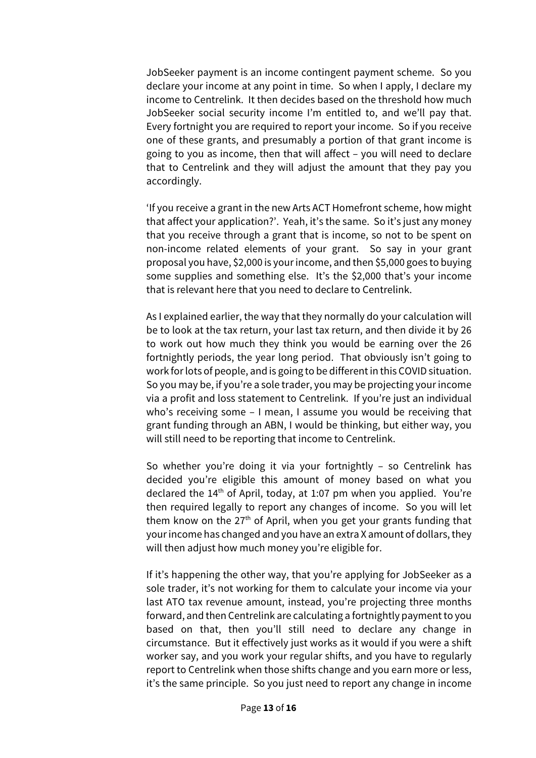JobSeeker payment is an income contingent payment scheme. So you declare your income at any point in time. So when I apply, I declare my income to Centrelink. It then decides based on the threshold how much JobSeeker social security income I'm entitled to, and we'll pay that. Every fortnight you are required to report your income. So if you receive one of these grants, and presumably a portion of that grant income is going to you as income, then that will affect – you will need to declare that to Centrelink and they will adjust the amount that they pay you accordingly.

'If you receive a grant in the new Arts ACT Homefront scheme, how might that affect your application?'. Yeah, it's the same. So it's just any money that you receive through a grant that is income, so not to be spent on non-income related elements of your grant. So say in your grant proposal you have, \$2,000 is your income, and then \$5,000 goes to buying some supplies and something else. It's the \$2,000 that's your income that is relevant here that you need to declare to Centrelink.

As I explained earlier, the way that they normally do your calculation will be to look at the tax return, your last tax return, and then divide it by 26 to work out how much they think you would be earning over the 26 fortnightly periods, the year long period. That obviously isn't going to work for lots of people, and is going to be different in this COVID situation. So you may be, if you're a sole trader, you may be projecting your income via a profit and loss statement to Centrelink. If you're just an individual who's receiving some – I mean, I assume you would be receiving that grant funding through an ABN, I would be thinking, but either way, you will still need to be reporting that income to Centrelink.

So whether you're doing it via your fortnightly – so Centrelink has decided you're eligible this amount of money based on what you declared the 14<sup>th</sup> of April, today, at 1:07 pm when you applied. You're then required legally to report any changes of income. So you will let them know on the  $27<sup>th</sup>$  of April, when you get your grants funding that your income has changed and you have an extra X amount of dollars, they will then adjust how much money you're eligible for.

If it's happening the other way, that you're applying for JobSeeker as a sole trader, it's not working for them to calculate your income via your last ATO tax revenue amount, instead, you're projecting three months forward, and then Centrelink are calculating a fortnightly payment to you based on that, then you'll still need to declare any change in circumstance. But it effectively just works as it would if you were a shift worker say, and you work your regular shifts, and you have to regularly report to Centrelink when those shifts change and you earn more or less, it's the same principle. So you just need to report any change in income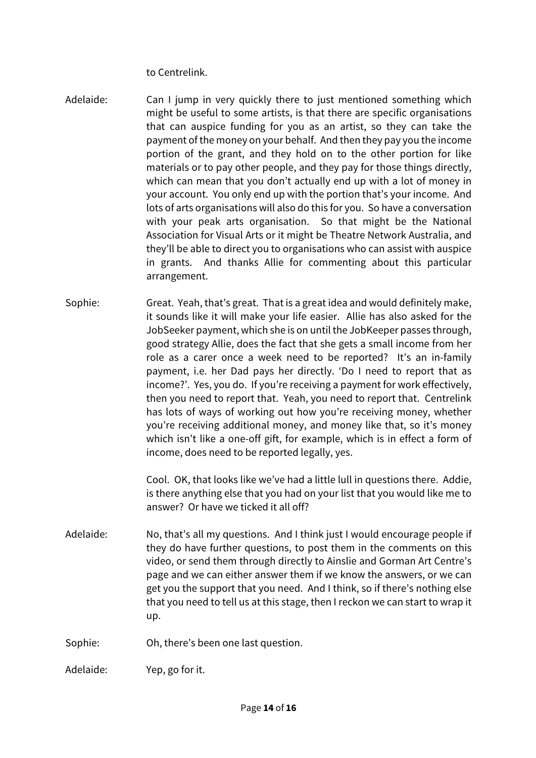to Centrelink.

- Adelaide: Can I jump in very quickly there to just mentioned something which might be useful to some artists, is that there are specific organisations that can auspice funding for you as an artist, so they can take the payment of the money on your behalf. And then they pay you the income portion of the grant, and they hold on to the other portion for like materials or to pay other people, and they pay for those things directly, which can mean that you don't actually end up with a lot of money in your account. You only end up with the portion that's your income. And lots of arts organisations will also do this for you. So have a conversation with your peak arts organisation. So that might be the National Association for Visual Arts or it might be Theatre Network Australia, and they'll be able to direct you to organisations who can assist with auspice in grants. And thanks Allie for commenting about this particular arrangement.
- Sophie: Great. Yeah, that's great. That is a great idea and would definitely make, it sounds like it will make your life easier. Allie has also asked for the JobSeeker payment, which she is on until the JobKeeper passes through, good strategy Allie, does the fact that she gets a small income from her role as a carer once a week need to be reported? It's an in-family payment, i.e. her Dad pays her directly. 'Do I need to report that as income?'. Yes, you do. If you're receiving a payment for work effectively, then you need to report that. Yeah, you need to report that. Centrelink has lots of ways of working out how you're receiving money, whether you're receiving additional money, and money like that, so it's money which isn't like a one-off gift, for example, which is in effect a form of income, does need to be reported legally, yes.

Cool. OK, that looks like we've had a little lull in questions there. Addie, is there anything else that you had on your list that you would like me to answer? Or have we ticked it all off?

- Adelaide: No, that's all my questions. And I think just I would encourage people if they do have further questions, to post them in the comments on this video, or send them through directly to Ainslie and Gorman Art Centre's page and we can either answer them if we know the answers, or we can get you the support that you need. And I think, so if there's nothing else that you need to tell us at this stage, then I reckon we can start to wrap it up.
- Sophie: Oh, there's been one last question.

Adelaide: Yep, go for it.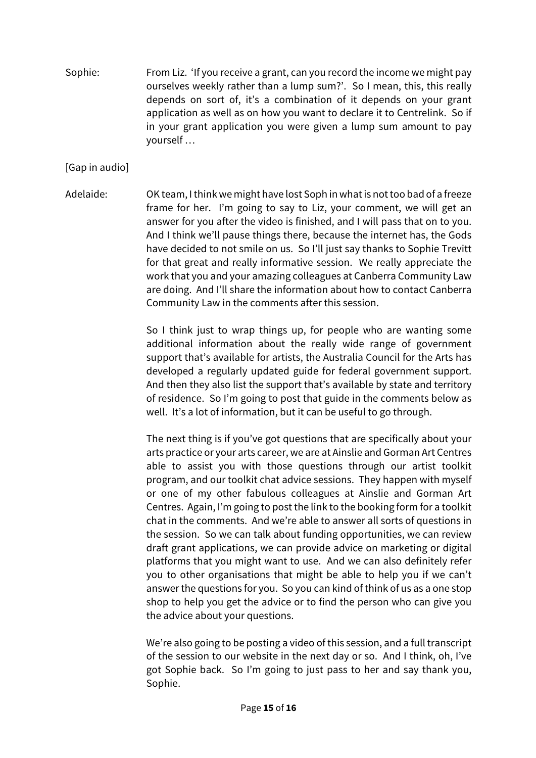Sophie: From Liz. 'If you receive a grant, can you record the income we might pay ourselves weekly rather than a lump sum?'. So I mean, this, this really depends on sort of, it's a combination of it depends on your grant application as well as on how you want to declare it to Centrelink. So if in your grant application you were given a lump sum amount to pay yourself …

## [Gap in audio]

Adelaide: OK team, I think we might have lost Soph in what is not too bad of a freeze frame for her. I'm going to say to Liz, your comment, we will get an answer for you after the video is finished, and I will pass that on to you. And I think we'll pause things there, because the internet has, the Gods have decided to not smile on us. So I'll just say thanks to Sophie Trevitt for that great and really informative session. We really appreciate the work that you and your amazing colleagues at Canberra Community Law are doing. And I'll share the information about how to contact Canberra Community Law in the comments after this session.

> So I think just to wrap things up, for people who are wanting some additional information about the really wide range of government support that's available for artists, the Australia Council for the Arts has developed a regularly updated guide for federal government support. And then they also list the support that's available by state and territory of residence. So I'm going to post that guide in the comments below as well. It's a lot of information, but it can be useful to go through.

> The next thing is if you've got questions that are specifically about your arts practice or your arts career, we are at Ainslie and Gorman Art Centres able to assist you with those questions through our artist toolkit program, and our toolkit chat advice sessions. They happen with myself or one of my other fabulous colleagues at Ainslie and Gorman Art Centres. Again, I'm going to post the link to the booking form for a toolkit chat in the comments. And we're able to answer all sorts of questions in the session. So we can talk about funding opportunities, we can review draft grant applications, we can provide advice on marketing or digital platforms that you might want to use. And we can also definitely refer you to other organisations that might be able to help you if we can't answer the questions for you. So you can kind of think of us as a one stop shop to help you get the advice or to find the person who can give you the advice about your questions.

> We're also going to be posting a video of this session, and a full transcript of the session to our website in the next day or so. And I think, oh, I've got Sophie back. So I'm going to just pass to her and say thank you, Sophie.